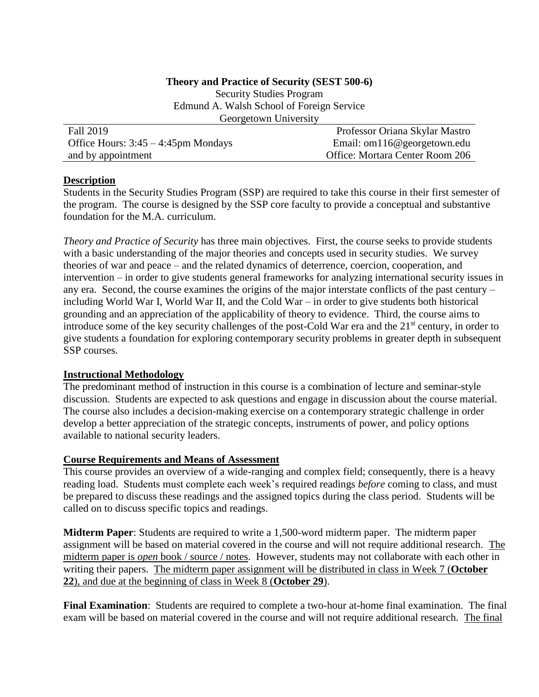### **Theory and Practice of Security (SEST 500-6)**

Security Studies Program Edmund A. Walsh School of Foreign Service Georgetown University

| <b>Fall 2019</b>                       | Professor Oriana Skylar Mastro  |
|----------------------------------------|---------------------------------|
| Office Hours: $3:45 - 4:45$ pm Mondays | Email: om116@georgetown.edu     |
| and by appointment                     | Office: Mortara Center Room 206 |

## **Description**

Students in the Security Studies Program (SSP) are required to take this course in their first semester of the program. The course is designed by the SSP core faculty to provide a conceptual and substantive foundation for the M.A. curriculum.

*Theory and Practice of Security* has three main objectives. First, the course seeks to provide students with a basic understanding of the major theories and concepts used in security studies. We survey theories of war and peace – and the related dynamics of deterrence, coercion, cooperation, and intervention – in order to give students general frameworks for analyzing international security issues in any era. Second, the course examines the origins of the major interstate conflicts of the past century – including World War I, World War II, and the Cold War – in order to give students both historical grounding and an appreciation of the applicability of theory to evidence. Third, the course aims to introduce some of the key security challenges of the post-Cold War era and the  $21<sup>st</sup>$  century, in order to give students a foundation for exploring contemporary security problems in greater depth in subsequent SSP courses.

## **Instructional Methodology**

The predominant method of instruction in this course is a combination of lecture and seminar-style discussion. Students are expected to ask questions and engage in discussion about the course material. The course also includes a decision-making exercise on a contemporary strategic challenge in order develop a better appreciation of the strategic concepts, instruments of power, and policy options available to national security leaders.

#### **Course Requirements and Means of Assessment**

This course provides an overview of a wide-ranging and complex field; consequently, there is a heavy reading load. Students must complete each week's required readings *before* coming to class, and must be prepared to discuss these readings and the assigned topics during the class period. Students will be called on to discuss specific topics and readings.

**Midterm Paper**: Students are required to write a 1,500-word midterm paper. The midterm paper assignment will be based on material covered in the course and will not require additional research. The midterm paper is *open* book / source / notes. However, students may not collaborate with each other in writing their papers. The midterm paper assignment will be distributed in class in Week 7 (**October 22**), and due at the beginning of class in Week 8 (**October 29**).

**Final Examination**: Students are required to complete a two-hour at-home final examination. The final exam will be based on material covered in the course and will not require additional research. The final